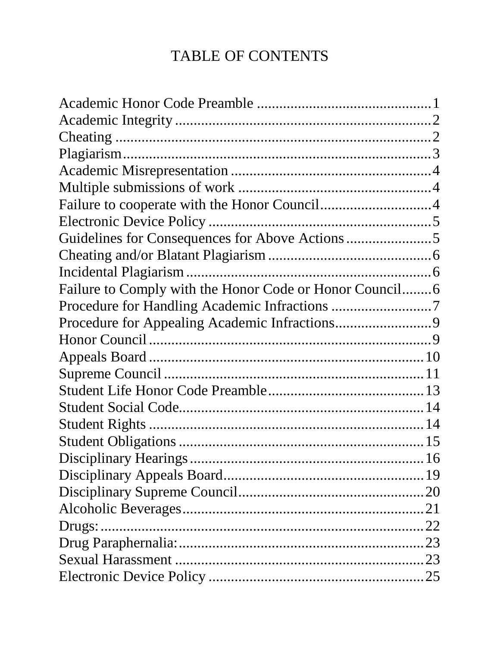# TABLE OF CONTENTS

| Guidelines for Consequences for Above Actions 5         |  |
|---------------------------------------------------------|--|
|                                                         |  |
|                                                         |  |
| Failure to Comply with the Honor Code or Honor Council6 |  |
|                                                         |  |
|                                                         |  |
|                                                         |  |
|                                                         |  |
|                                                         |  |
|                                                         |  |
|                                                         |  |
|                                                         |  |
|                                                         |  |
|                                                         |  |
|                                                         |  |
|                                                         |  |
|                                                         |  |
|                                                         |  |
|                                                         |  |
|                                                         |  |
|                                                         |  |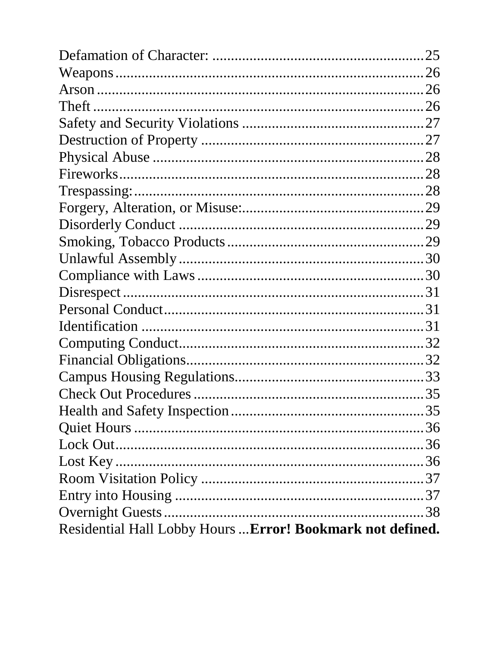| Residential Hall Lobby Hours  Error! Bookmark not defined. |  |
|------------------------------------------------------------|--|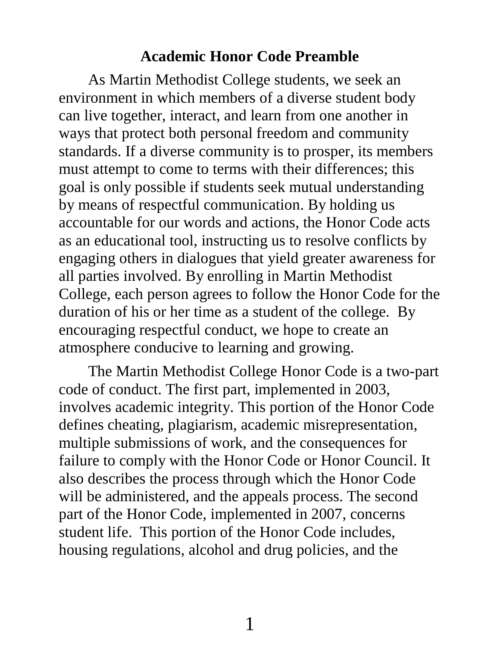#### **Academic Honor Code Preamble**

<span id="page-2-0"></span>As Martin Methodist College students, we seek an environment in which members of a diverse student body can live together, interact, and learn from one another in ways that protect both personal freedom and community standards. If a diverse community is to prosper, its members must attempt to come to terms with their differences; this goal is only possible if students seek mutual understanding by means of respectful communication. By holding us accountable for our words and actions, the Honor Code acts as an educational tool, instructing us to resolve conflicts by engaging others in dialogues that yield greater awareness for all parties involved. By enrolling in Martin Methodist College, each person agrees to follow the Honor Code for the duration of his or her time as a student of the college. By encouraging respectful conduct, we hope to create an atmosphere conducive to learning and growing.

The Martin Methodist College Honor Code is a two-part code of conduct. The first part, implemented in 2003, involves academic integrity. This portion of the Honor Code defines cheating, plagiarism, academic misrepresentation, multiple submissions of work, and the consequences for failure to comply with the Honor Code or Honor Council. It also describes the process through which the Honor Code will be administered, and the appeals process. The second part of the Honor Code, implemented in 2007, concerns student life. This portion of the Honor Code includes, housing regulations, alcohol and drug policies, and the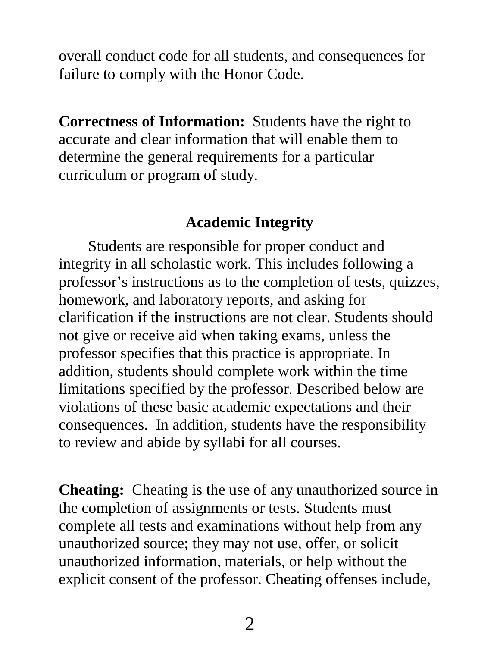overall conduct code for all students, and consequences for failure to comply with the Honor Code.

**Correctness of Information:** Students have the right to accurate and clear information that will enable them to determine the general requirements for a particular curriculum or program of study.

## **Academic Integrity**

<span id="page-3-0"></span>Students are responsible for proper conduct and integrity in all scholastic work. This includes following a professor's instructions as to the completion of tests, quizzes, homework, and laboratory reports, and asking for clarification if the instructions are not clear. Students should not give or receive aid when taking exams, unless the professor specifies that this practice is appropriate. In addition, students should complete work within the time limitations specified by the professor. Described below are violations of these basic academic expectations and their consequences. In addition, students have the responsibility to review and abide by syllabi for all courses.

<span id="page-3-1"></span>**Cheating:** Cheating is the use of any unauthorized source in the completion of assignments or tests. Students must complete all tests and examinations without help from any unauthorized source; they may not use, offer, or solicit unauthorized information, materials, or help without the explicit consent of the professor. Cheating offenses include,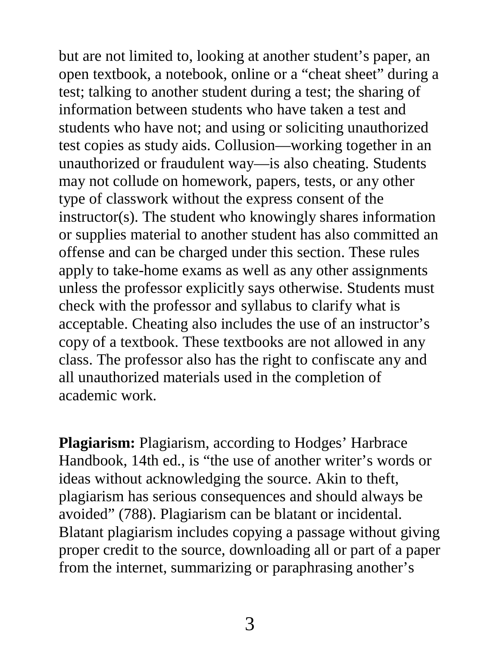but are not limited to, looking at another student's paper, an open textbook, a notebook, online or a "cheat sheet" during a test; talking to another student during a test; the sharing of information between students who have taken a test and students who have not; and using or soliciting unauthorized test copies as study aids. Collusion—working together in an unauthorized or fraudulent way—is also cheating. Students may not collude on homework, papers, tests, or any other type of classwork without the express consent of the instructor(s). The student who knowingly shares information or supplies material to another student has also committed an offense and can be charged under this section. These rules apply to take-home exams as well as any other assignments unless the professor explicitly says otherwise. Students must check with the professor and syllabus to clarify what is acceptable. Cheating also includes the use of an instructor's copy of a textbook. These textbooks are not allowed in any class. The professor also has the right to confiscate any and all unauthorized materials used in the completion of academic work.

<span id="page-4-0"></span>**Plagiarism:** Plagiarism, according to Hodges' Harbrace Handbook, 14th ed., is "the use of another writer's words or ideas without acknowledging the source. Akin to theft, plagiarism has serious consequences and should always be avoided" (788). Plagiarism can be blatant or incidental. Blatant plagiarism includes copying a passage without giving proper credit to the source, downloading all or part of a paper from the internet, summarizing or paraphrasing another's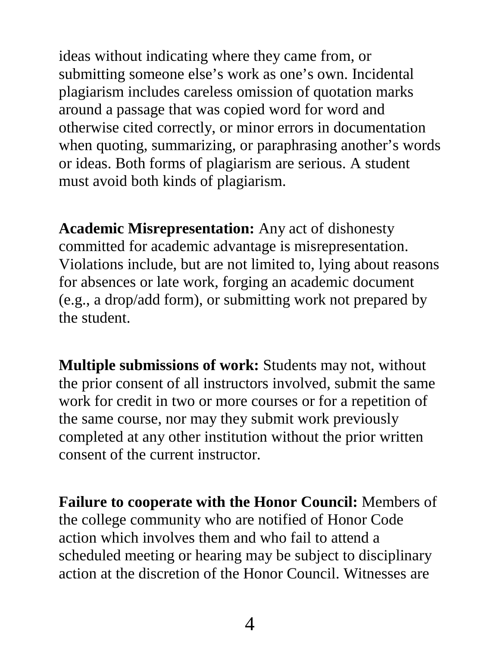ideas without indicating where they came from, or submitting someone else's work as one's own. Incidental plagiarism includes careless omission of quotation marks around a passage that was copied word for word and otherwise cited correctly, or minor errors in documentation when quoting, summarizing, or paraphrasing another's words or ideas. Both forms of plagiarism are serious. A student must avoid both kinds of plagiarism.

<span id="page-5-0"></span>**Academic Misrepresentation:** Any act of dishonesty committed for academic advantage is misrepresentation. Violations include, but are not limited to, lying about reasons for absences or late work, forging an academic document (e.g., a drop/add form), or submitting work not prepared by the student.

<span id="page-5-1"></span>**Multiple submissions of work:** Students may not, without the prior consent of all instructors involved, submit the same work for credit in two or more courses or for a repetition of the same course, nor may they submit work previously completed at any other institution without the prior written consent of the current instructor.

<span id="page-5-2"></span>**Failure to cooperate with the Honor Council:** Members of the college community who are notified of Honor Code action which involves them and who fail to attend a scheduled meeting or hearing may be subject to disciplinary action at the discretion of the Honor Council. Witnesses are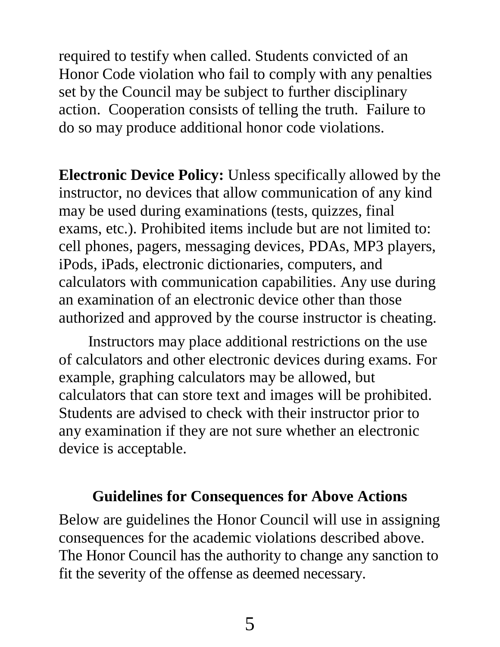required to testify when called. Students convicted of an Honor Code violation who fail to comply with any penalties set by the Council may be subject to further disciplinary action. Cooperation consists of telling the truth. Failure to do so may produce additional honor code violations.

<span id="page-6-0"></span>**Electronic Device Policy:** Unless specifically allowed by the instructor, no devices that allow communication of any kind may be used during examinations (tests, quizzes, final exams, etc.). Prohibited items include but are not limited to: cell phones, pagers, messaging devices, PDAs, MP3 players, iPods, iPads, electronic dictionaries, computers, and calculators with communication capabilities. Any use during an examination of an electronic device other than those authorized and approved by the course instructor is cheating.

Instructors may place additional restrictions on the use of calculators and other electronic devices during exams. For example, graphing calculators may be allowed, but calculators that can store text and images will be prohibited. Students are advised to check with their instructor prior to any examination if they are not sure whether an electronic device is acceptable.

### **Guidelines for Consequences for Above Actions**

<span id="page-6-1"></span>Below are guidelines the Honor Council will use in assigning consequences for the academic violations described above. The Honor Council has the authority to change any sanction to fit the severity of the offense as deemed necessary.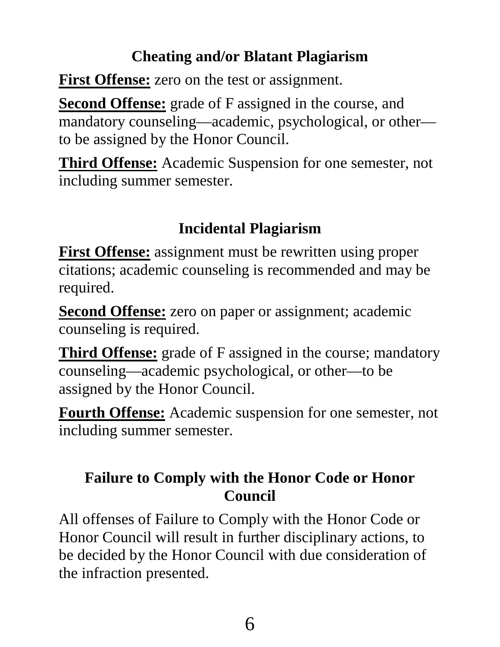# **Cheating and/or Blatant Plagiarism**

<span id="page-7-0"></span>**First Offense:** zero on the test or assignment.

**Second Offense:** grade of F assigned in the course, and mandatory counseling—academic, psychological, or other to be assigned by the Honor Council.

**Third Offense:** Academic Suspension for one semester, not including summer semester.

# **Incidental Plagiarism**

<span id="page-7-1"></span>**First Offense:** assignment must be rewritten using proper citations; academic counseling is recommended and may be required.

**Second Offense:** zero on paper or assignment; academic counseling is required.

**Third Offense:** grade of F assigned in the course; mandatory counseling—academic psychological, or other—to be assigned by the Honor Council.

**Fourth Offense:** Academic suspension for one semester, not including summer semester.

# <span id="page-7-2"></span>**Failure to Comply with the Honor Code or Honor Council**

All offenses of Failure to Comply with the Honor Code or Honor Council will result in further disciplinary actions, to be decided by the Honor Council with due consideration of the infraction presented.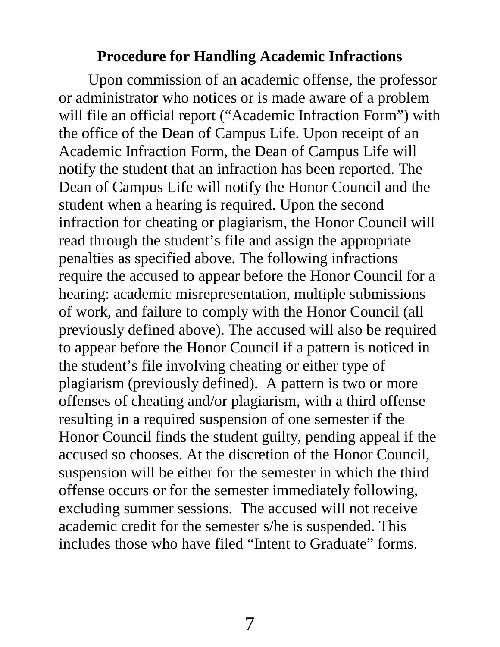#### **Procedure for Handling Academic Infractions**

<span id="page-8-0"></span>Upon commission of an academic offense, the professor or administrator who notices or is made aware of a problem will file an official report ("Academic Infraction Form") with the office of the Dean of Campus Life. Upon receipt of an Academic Infraction Form, the Dean of Campus Life will notify the student that an infraction has been reported. The Dean of Campus Life will notify the Honor Council and the student when a hearing is required. Upon the second infraction for cheating or plagiarism, the Honor Council will read through the student's file and assign the appropriate penalties as specified above. The following infractions require the accused to appear before the Honor Council for a hearing: academic misrepresentation, multiple submissions of work, and failure to comply with the Honor Council (all previously defined above). The accused will also be required to appear before the Honor Council if a pattern is noticed in the student's file involving cheating or either type of plagiarism (previously defined). A pattern is two or more offenses of cheating and/or plagiarism, with a third offense resulting in a required suspension of one semester if the Honor Council finds the student guilty, pending appeal if the accused so chooses. At the discretion of the Honor Council, suspension will be either for the semester in which the third offense occurs or for the semester immediately following, excluding summer sessions. The accused will not receive academic credit for the semester s/he is suspended. This includes those who have filed "Intent to Graduate" forms.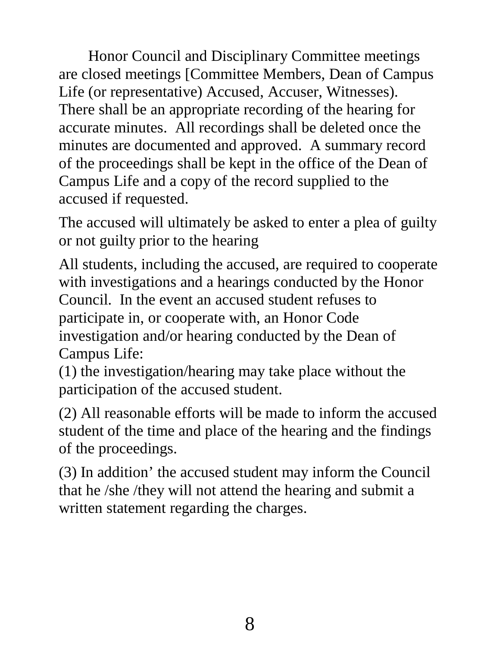Honor Council and Disciplinary Committee meetings are closed meetings [Committee Members, Dean of Campus Life (or representative) Accused, Accuser, Witnesses). There shall be an appropriate recording of the hearing for accurate minutes. All recordings shall be deleted once the minutes are documented and approved. A summary record of the proceedings shall be kept in the office of the Dean of Campus Life and a copy of the record supplied to the accused if requested.

The accused will ultimately be asked to enter a plea of guilty or not guilty prior to the hearing

All students, including the accused, are required to cooperate with investigations and a hearings conducted by the Honor Council. In the event an accused student refuses to participate in, or cooperate with, an Honor Code investigation and/or hearing conducted by the Dean of Campus Life:

(1) the investigation/hearing may take place without the participation of the accused student.

(2) All reasonable efforts will be made to inform the accused student of the time and place of the hearing and the findings of the proceedings.

(3) In addition' the accused student may inform the Council that he /she /they will not attend the hearing and submit a written statement regarding the charges.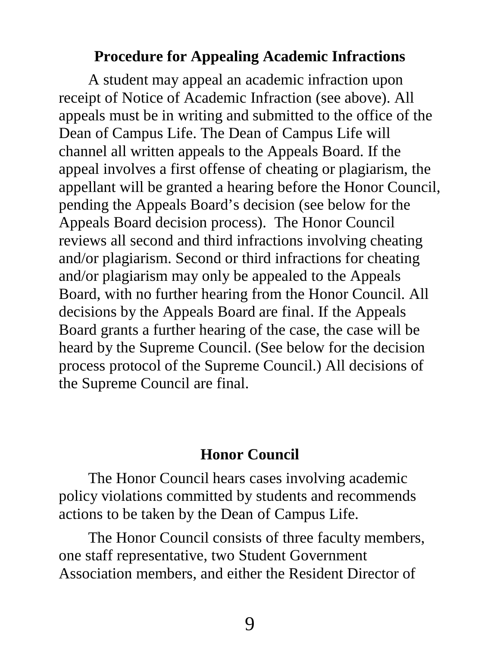#### **Procedure for Appealing Academic Infractions**

<span id="page-10-0"></span>A student may appeal an academic infraction upon receipt of Notice of Academic Infraction (see above). All appeals must be in writing and submitted to the office of the Dean of Campus Life. The Dean of Campus Life will channel all written appeals to the Appeals Board. If the appeal involves a first offense of cheating or plagiarism, the appellant will be granted a hearing before the Honor Council, pending the Appeals Board's decision (see below for the Appeals Board decision process). The Honor Council reviews all second and third infractions involving cheating and/or plagiarism. Second or third infractions for cheating and/or plagiarism may only be appealed to the Appeals Board, with no further hearing from the Honor Council. All decisions by the Appeals Board are final. If the Appeals Board grants a further hearing of the case, the case will be heard by the Supreme Council. (See below for the decision process protocol of the Supreme Council.) All decisions of the Supreme Council are final.

### **Honor Council**

<span id="page-10-1"></span>The Honor Council hears cases involving academic policy violations committed by students and recommends actions to be taken by the Dean of Campus Life.

The Honor Council consists of three faculty members, one staff representative, two Student Government Association members, and either the Resident Director of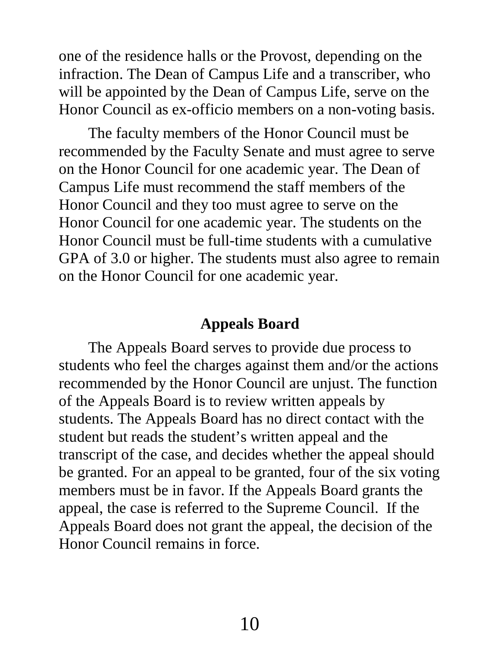one of the residence halls or the Provost, depending on the infraction. The Dean of Campus Life and a transcriber, who will be appointed by the Dean of Campus Life, serve on the Honor Council as ex-officio members on a non-voting basis.

The faculty members of the Honor Council must be recommended by the Faculty Senate and must agree to serve on the Honor Council for one academic year. The Dean of Campus Life must recommend the staff members of the Honor Council and they too must agree to serve on the Honor Council for one academic year. The students on the Honor Council must be full-time students with a cumulative GPA of 3.0 or higher. The students must also agree to remain on the Honor Council for one academic year.

#### **Appeals Board**

<span id="page-11-0"></span>The Appeals Board serves to provide due process to students who feel the charges against them and/or the actions recommended by the Honor Council are unjust. The function of the Appeals Board is to review written appeals by students. The Appeals Board has no direct contact with the student but reads the student's written appeal and the transcript of the case, and decides whether the appeal should be granted. For an appeal to be granted, four of the six voting members must be in favor. If the Appeals Board grants the appeal, the case is referred to the Supreme Council. If the Appeals Board does not grant the appeal, the decision of the Honor Council remains in force.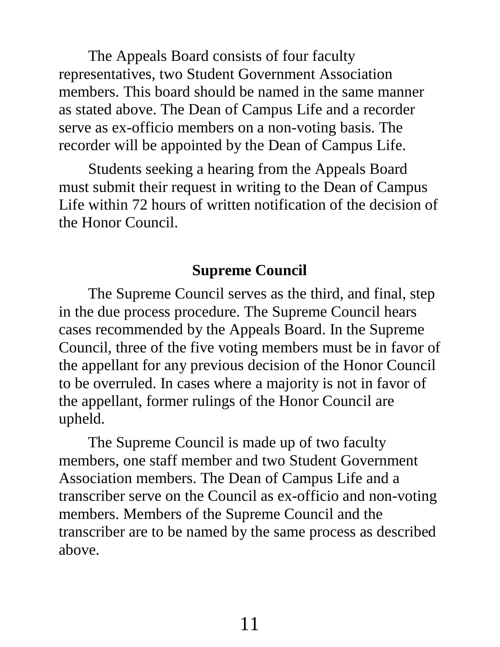The Appeals Board consists of four faculty representatives, two Student Government Association members. This board should be named in the same manner as stated above. The Dean of Campus Life and a recorder serve as ex-officio members on a non-voting basis. The recorder will be appointed by the Dean of Campus Life.

Students seeking a hearing from the Appeals Board must submit their request in writing to the Dean of Campus Life within 72 hours of written notification of the decision of the Honor Council.

#### **Supreme Council**

<span id="page-12-0"></span>The Supreme Council serves as the third, and final, step in the due process procedure. The Supreme Council hears cases recommended by the Appeals Board. In the Supreme Council, three of the five voting members must be in favor of the appellant for any previous decision of the Honor Council to be overruled. In cases where a majority is not in favor of the appellant, former rulings of the Honor Council are upheld.

The Supreme Council is made up of two faculty members, one staff member and two Student Government Association members. The Dean of Campus Life and a transcriber serve on the Council as ex-officio and non-voting members. Members of the Supreme Council and the transcriber are to be named by the same process as described above.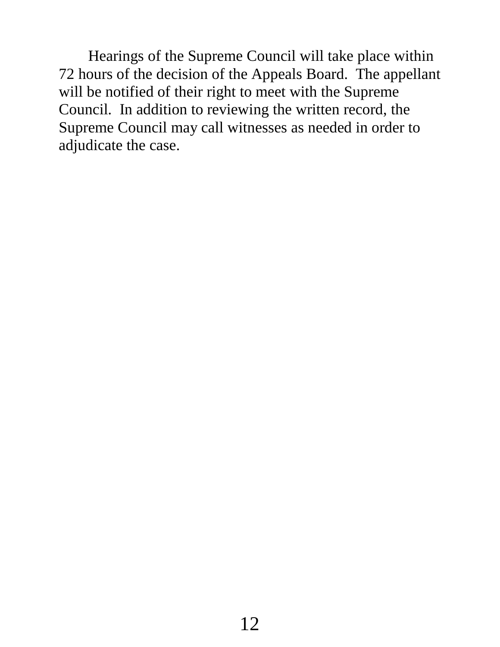Hearings of the Supreme Council will take place within 72 hours of the decision of the Appeals Board. The appellant will be notified of their right to meet with the Supreme Council. In addition to reviewing the written record, the Supreme Council may call witnesses as needed in order to adjudicate the case.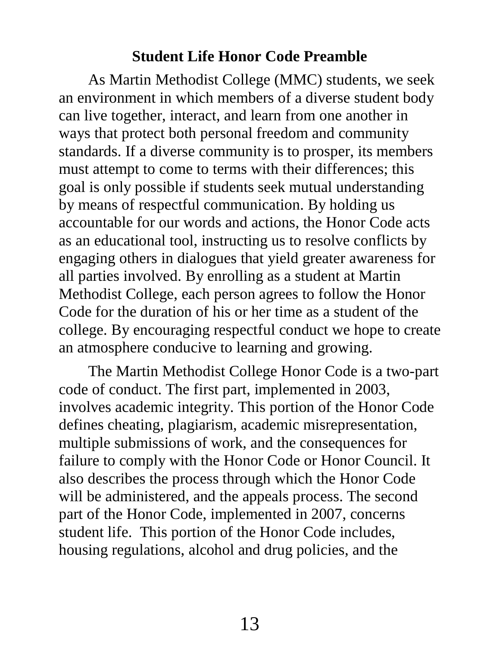#### **Student Life Honor Code Preamble**

<span id="page-14-0"></span>As Martin Methodist College (MMC) students, we seek an environment in which members of a diverse student body can live together, interact, and learn from one another in ways that protect both personal freedom and community standards. If a diverse community is to prosper, its members must attempt to come to terms with their differences; this goal is only possible if students seek mutual understanding by means of respectful communication. By holding us accountable for our words and actions, the Honor Code acts as an educational tool, instructing us to resolve conflicts by engaging others in dialogues that yield greater awareness for all parties involved. By enrolling as a student at Martin Methodist College, each person agrees to follow the Honor Code for the duration of his or her time as a student of the college. By encouraging respectful conduct we hope to create an atmosphere conducive to learning and growing.

The Martin Methodist College Honor Code is a two-part code of conduct. The first part, implemented in 2003, involves academic integrity. This portion of the Honor Code defines cheating, plagiarism, academic misrepresentation, multiple submissions of work, and the consequences for failure to comply with the Honor Code or Honor Council. It also describes the process through which the Honor Code will be administered, and the appeals process. The second part of the Honor Code, implemented in 2007, concerns student life. This portion of the Honor Code includes, housing regulations, alcohol and drug policies, and the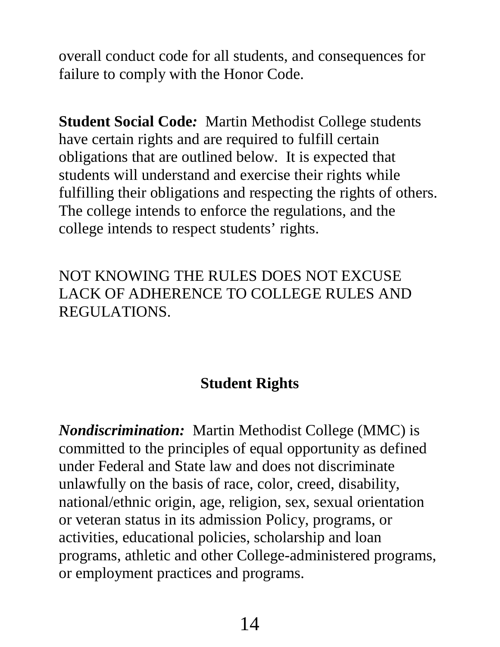overall conduct code for all students, and consequences for failure to comply with the Honor Code.

<span id="page-15-0"></span>**Student Social Code***:* Martin Methodist College students have certain rights and are required to fulfill certain obligations that are outlined below. It is expected that students will understand and exercise their rights while fulfilling their obligations and respecting the rights of others. The college intends to enforce the regulations, and the college intends to respect students' rights.

## NOT KNOWING THE RULES DOES NOT EXCUSE LACK OF ADHERENCE TO COLLEGE RULES AND REGULATIONS.

# **Student Rights**

<span id="page-15-1"></span>*Nondiscrimination:* Martin Methodist College (MMC) is committed to the principles of equal opportunity as defined under Federal and State law and does not discriminate unlawfully on the basis of race, color, creed, disability, national/ethnic origin, age, religion, sex, sexual orientation or veteran status in its admission Policy, programs, or activities, educational policies, scholarship and loan programs, athletic and other College-administered programs, or employment practices and programs.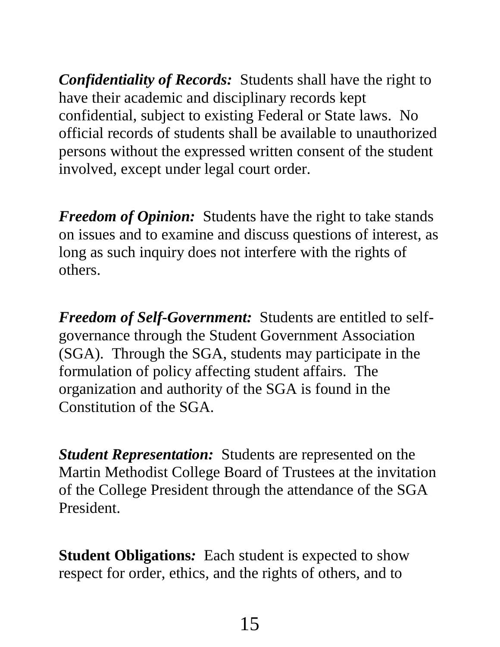*Confidentiality of Records:* Students shall have the right to have their academic and disciplinary records kept confidential, subject to existing Federal or State laws. No official records of students shall be available to unauthorized persons without the expressed written consent of the student involved, except under legal court order.

*Freedom of Opinion:* Students have the right to take stands on issues and to examine and discuss questions of interest, as long as such inquiry does not interfere with the rights of others.

*Freedom of Self-Government:* Students are entitled to selfgovernance through the Student Government Association (SGA). Through the SGA, students may participate in the formulation of policy affecting student affairs. The organization and authority of the SGA is found in the Constitution of the SGA.

*Student Representation:* Students are represented on the Martin Methodist College Board of Trustees at the invitation of the College President through the attendance of the SGA President.

<span id="page-16-0"></span>**Student Obligations***:* Each student is expected to show respect for order, ethics, and the rights of others, and to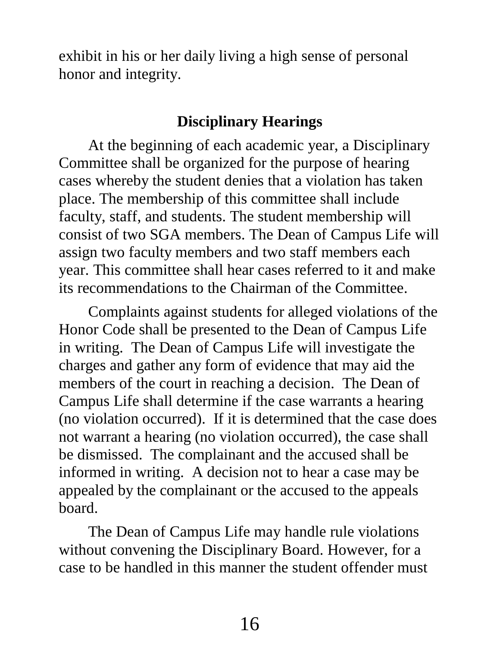exhibit in his or her daily living a high sense of personal honor and integrity.

## **Disciplinary Hearings**

<span id="page-17-0"></span>At the beginning of each academic year, a Disciplinary Committee shall be organized for the purpose of hearing cases whereby the student denies that a violation has taken place. The membership of this committee shall include faculty, staff, and students. The student membership will consist of two SGA members. The Dean of Campus Life will assign two faculty members and two staff members each year. This committee shall hear cases referred to it and make its recommendations to the Chairman of the Committee.

Complaints against students for alleged violations of the Honor Code shall be presented to the Dean of Campus Life in writing. The Dean of Campus Life will investigate the charges and gather any form of evidence that may aid the members of the court in reaching a decision. The Dean of Campus Life shall determine if the case warrants a hearing (no violation occurred). If it is determined that the case does not warrant a hearing (no violation occurred), the case shall be dismissed. The complainant and the accused shall be informed in writing. A decision not to hear a case may be appealed by the complainant or the accused to the appeals board.

The Dean of Campus Life may handle rule violations without convening the Disciplinary Board. However, for a case to be handled in this manner the student offender must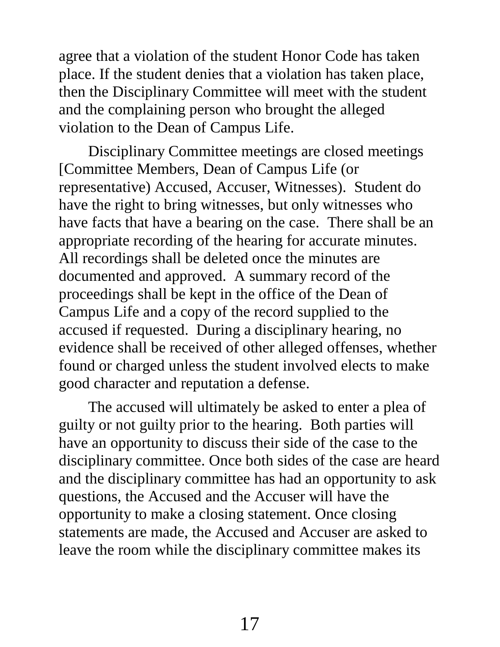agree that a violation of the student Honor Code has taken place. If the student denies that a violation has taken place, then the Disciplinary Committee will meet with the student and the complaining person who brought the alleged violation to the Dean of Campus Life.

Disciplinary Committee meetings are closed meetings [Committee Members, Dean of Campus Life (or representative) Accused, Accuser, Witnesses). Student do have the right to bring witnesses, but only witnesses who have facts that have a bearing on the case. There shall be an appropriate recording of the hearing for accurate minutes. All recordings shall be deleted once the minutes are documented and approved. A summary record of the proceedings shall be kept in the office of the Dean of Campus Life and a copy of the record supplied to the accused if requested. During a disciplinary hearing, no evidence shall be received of other alleged offenses, whether found or charged unless the student involved elects to make good character and reputation a defense.

The accused will ultimately be asked to enter a plea of guilty or not guilty prior to the hearing. Both parties will have an opportunity to discuss their side of the case to the disciplinary committee. Once both sides of the case are heard and the disciplinary committee has had an opportunity to ask questions, the Accused and the Accuser will have the opportunity to make a closing statement. Once closing statements are made, the Accused and Accuser are asked to leave the room while the disciplinary committee makes its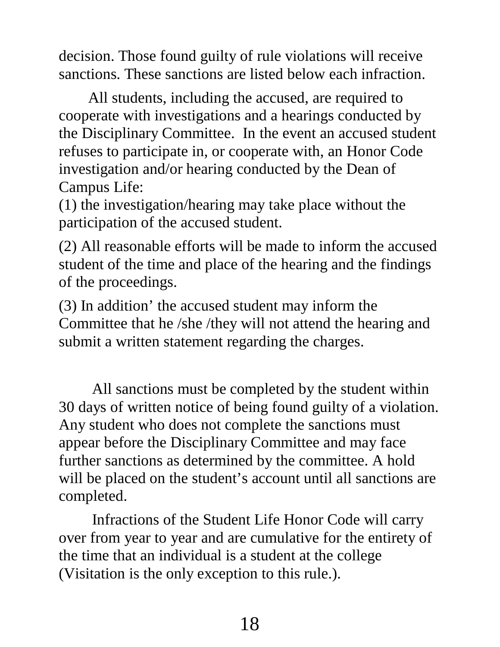decision. Those found guilty of rule violations will receive sanctions. These sanctions are listed below each infraction.

All students, including the accused, are required to cooperate with investigations and a hearings conducted by the Disciplinary Committee. In the event an accused student refuses to participate in, or cooperate with, an Honor Code investigation and/or hearing conducted by the Dean of Campus Life:

(1) the investigation/hearing may take place without the participation of the accused student.

(2) All reasonable efforts will be made to inform the accused student of the time and place of the hearing and the findings of the proceedings.

(3) In addition' the accused student may inform the Committee that he /she /they will not attend the hearing and submit a written statement regarding the charges.

All sanctions must be completed by the student within 30 days of written notice of being found guilty of a violation. Any student who does not complete the sanctions must appear before the Disciplinary Committee and may face further sanctions as determined by the committee. A hold will be placed on the student's account until all sanctions are completed.

Infractions of the Student Life Honor Code will carry over from year to year and are cumulative for the entirety of the time that an individual is a student at the college (Visitation is the only exception to this rule.).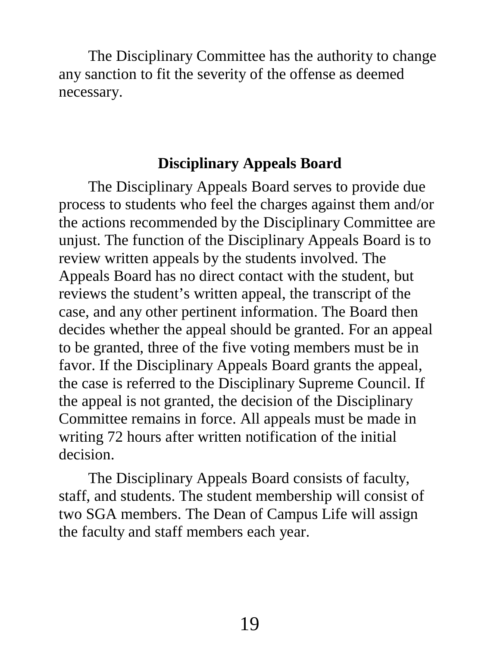The Disciplinary Committee has the authority to change any sanction to fit the severity of the offense as deemed necessary.

## **Disciplinary Appeals Board**

<span id="page-20-0"></span>The Disciplinary Appeals Board serves to provide due process to students who feel the charges against them and/or the actions recommended by the Disciplinary Committee are unjust. The function of the Disciplinary Appeals Board is to review written appeals by the students involved. The Appeals Board has no direct contact with the student, but reviews the student's written appeal, the transcript of the case, and any other pertinent information. The Board then decides whether the appeal should be granted. For an appeal to be granted, three of the five voting members must be in favor. If the Disciplinary Appeals Board grants the appeal, the case is referred to the Disciplinary Supreme Council. If the appeal is not granted, the decision of the Disciplinary Committee remains in force. All appeals must be made in writing 72 hours after written notification of the initial decision.

The Disciplinary Appeals Board consists of faculty, staff, and students. The student membership will consist of two SGA members. The Dean of Campus Life will assign the faculty and staff members each year.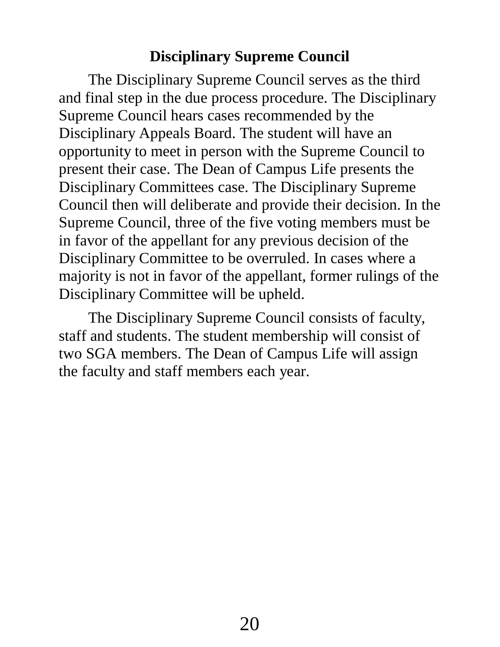## **Disciplinary Supreme Council**

<span id="page-21-0"></span>The Disciplinary Supreme Council serves as the third and final step in the due process procedure. The Disciplinary Supreme Council hears cases recommended by the Disciplinary Appeals Board. The student will have an opportunity to meet in person with the Supreme Council to present their case. The Dean of Campus Life presents the Disciplinary Committees case. The Disciplinary Supreme Council then will deliberate and provide their decision. In the Supreme Council, three of the five voting members must be in favor of the appellant for any previous decision of the Disciplinary Committee to be overruled. In cases where a majority is not in favor of the appellant, former rulings of the Disciplinary Committee will be upheld.

The Disciplinary Supreme Council consists of faculty, staff and students. The student membership will consist of two SGA members. The Dean of Campus Life will assign the faculty and staff members each year.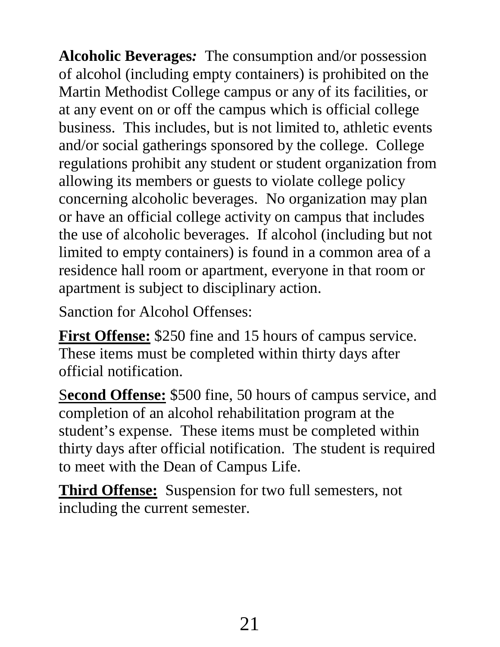<span id="page-22-0"></span>**Alcoholic Beverages***:* The consumption and/or possession of alcohol (including empty containers) is prohibited on the Martin Methodist College campus or any of its facilities, or at any event on or off the campus which is official college business. This includes, but is not limited to, athletic events and/or social gatherings sponsored by the college. College regulations prohibit any student or student organization from allowing its members or guests to violate college policy concerning alcoholic beverages. No organization may plan or have an official college activity on campus that includes the use of alcoholic beverages. If alcohol (including but not limited to empty containers) is found in a common area of a residence hall room or apartment, everyone in that room or apartment is subject to disciplinary action.

Sanction for Alcohol Offenses:

**First Offense:** \$250 fine and 15 hours of campus service. These items must be completed within thirty days after official notification.

S**econd Offense:** \$500 fine, 50 hours of campus service, and completion of an alcohol rehabilitation program at the student's expense. These items must be completed within thirty days after official notification. The student is required to meet with the Dean of Campus Life.

**Third Offense:** Suspension for two full semesters, not including the current semester.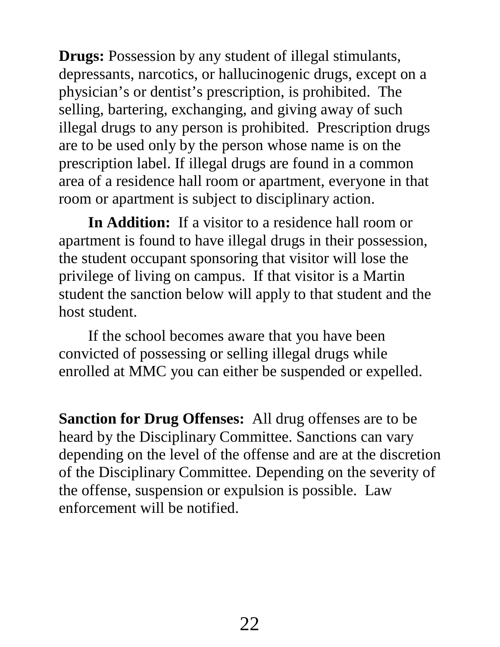<span id="page-23-0"></span>**Drugs:** Possession by any student of illegal stimulants, depressants, narcotics, or hallucinogenic drugs, except on a physician's or dentist's prescription, is prohibited. The selling, bartering, exchanging, and giving away of such illegal drugs to any person is prohibited. Prescription drugs are to be used only by the person whose name is on the prescription label. If illegal drugs are found in a common area of a residence hall room or apartment, everyone in that room or apartment is subject to disciplinary action.

**In Addition:** If a visitor to a residence hall room or apartment is found to have illegal drugs in their possession, the student occupant sponsoring that visitor will lose the privilege of living on campus. If that visitor is a Martin student the sanction below will apply to that student and the host student.

If the school becomes aware that you have been convicted of possessing or selling illegal drugs while enrolled at MMC you can either be suspended or expelled.

**Sanction for Drug Offenses:** All drug offenses are to be heard by the Disciplinary Committee. Sanctions can vary depending on the level of the offense and are at the discretion of the Disciplinary Committee. Depending on the severity of the offense, suspension or expulsion is possible. Law enforcement will be notified.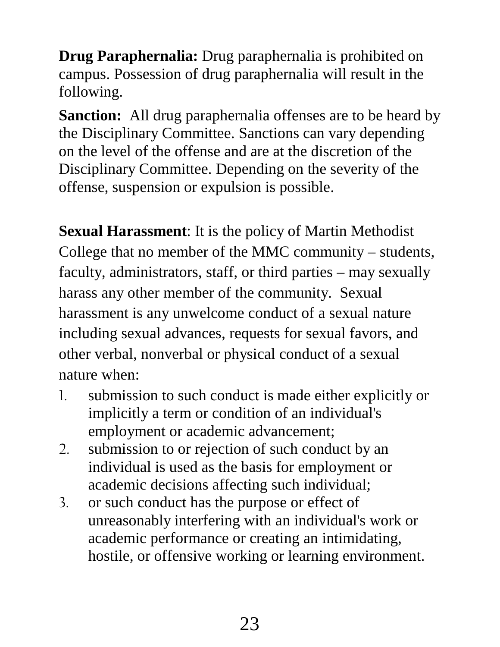<span id="page-24-0"></span>**Drug Paraphernalia:** Drug paraphernalia is prohibited on campus. Possession of drug paraphernalia will result in the following.

**Sanction:** All drug paraphernalia offenses are to be heard by the Disciplinary Committee. Sanctions can vary depending on the level of the offense and are at the discretion of the Disciplinary Committee. Depending on the severity of the offense, suspension or expulsion is possible.

<span id="page-24-1"></span>**Sexual Harassment**: It is the policy of Martin Methodist College that no member of the MMC community – students, faculty, administrators, staff, or third parties – may sexually harass any other member of the community. Sexual harassment is any unwelcome conduct of a sexual nature including sexual advances, requests for sexual favors, and other verbal, nonverbal or physical conduct of a sexual nature when:

- 1. submission to such conduct is made either explicitly or implicitly a term or condition of an individual's employment or academic advancement;
- 2. submission to or rejection of such conduct by an individual is used as the basis for employment or academic decisions affecting such individual;
- 3. or such conduct has the purpose or effect of unreasonably interfering with an individual's work or academic performance or creating an intimidating, hostile, or offensive working or learning environment.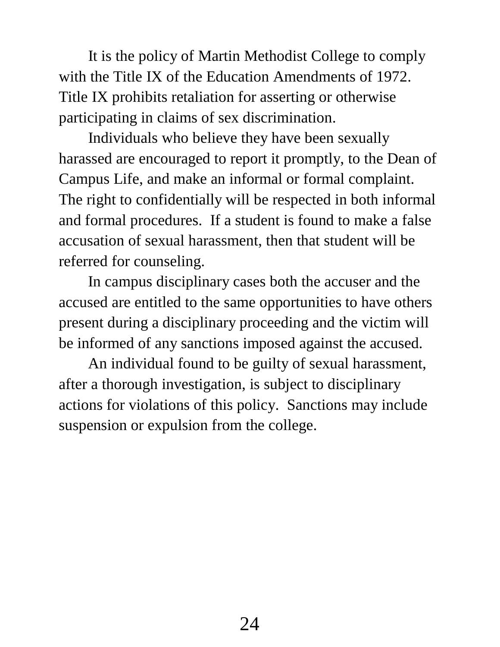It is the policy of Martin Methodist College to comply with the Title IX of the Education Amendments of 1972. Title IX prohibits retaliation for asserting or otherwise participating in claims of sex discrimination.

Individuals who believe they have been sexually harassed are encouraged to report it promptly, to the Dean of Campus Life, and make an informal or formal complaint. The right to confidentially will be respected in both informal and formal procedures. If a student is found to make a false accusation of sexual harassment, then that student will be referred for counseling.

In campus disciplinary cases both the accuser and the accused are entitled to the same opportunities to have others present during a disciplinary proceeding and the victim will be informed of any sanctions imposed against the accused.

An individual found to be guilty of sexual harassment, after a thorough investigation, is subject to disciplinary actions for violations of this policy. Sanctions may include suspension or expulsion from the college.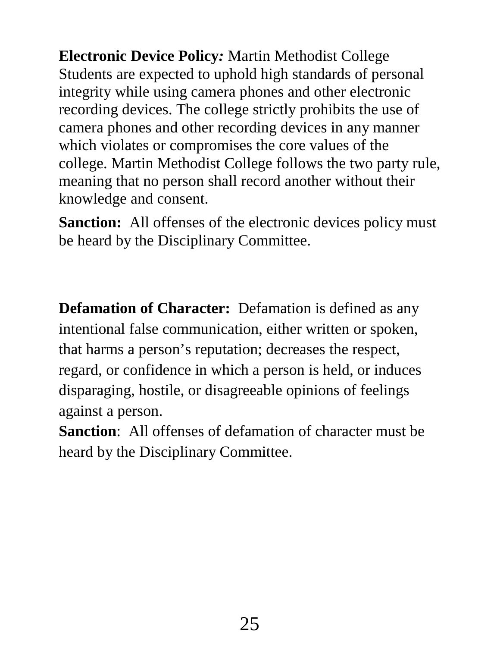<span id="page-26-0"></span>**Electronic Device Policy***:* Martin Methodist College Students are expected to uphold high standards of personal integrity while using camera phones and other electronic recording devices. The college strictly prohibits the use of camera phones and other recording devices in any manner which violates or compromises the core values of the college. Martin Methodist College follows the two party rule, meaning that no person shall record another without their knowledge and consent.

**Sanction:** All offenses of the electronic devices policy must be heard by the Disciplinary Committee.

<span id="page-26-1"></span>**Defamation of Character:** Defamation is defined as any intentional false communication, either written or spoken, that harms a person's reputation; decreases the respect, regard, or confidence in which a person is held, or induces disparaging, hostile, or disagreeable opinions of feelings against a person.

**Sanction**: All offenses of defamation of character must be heard by the Disciplinary Committee.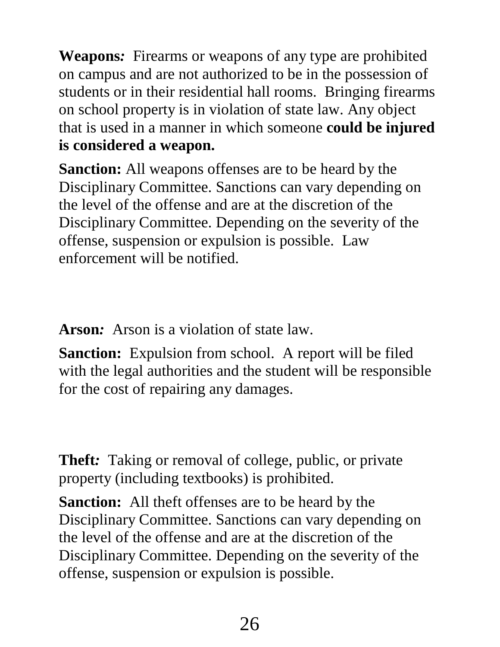<span id="page-27-0"></span>**Weapons***:* Firearms or weapons of any type are prohibited on campus and are not authorized to be in the possession of students or in their residential hall rooms. Bringing firearms on school property is in violation of state law. Any object that is used in a manner in which someone **could be injured is considered a weapon.**

**Sanction:** All weapons offenses are to be heard by the Disciplinary Committee. Sanctions can vary depending on the level of the offense and are at the discretion of the Disciplinary Committee. Depending on the severity of the offense, suspension or expulsion is possible. Law enforcement will be notified.

<span id="page-27-1"></span>**Arson***:* Arson is a violation of state law.

**Sanction:** Expulsion from school. A report will be filed with the legal authorities and the student will be responsible for the cost of repairing any damages.

<span id="page-27-2"></span>**Theft***:* Taking or removal of college, public, or private property (including textbooks) is prohibited.

**Sanction:** All theft offenses are to be heard by the Disciplinary Committee. Sanctions can vary depending on the level of the offense and are at the discretion of the Disciplinary Committee. Depending on the severity of the offense, suspension or expulsion is possible.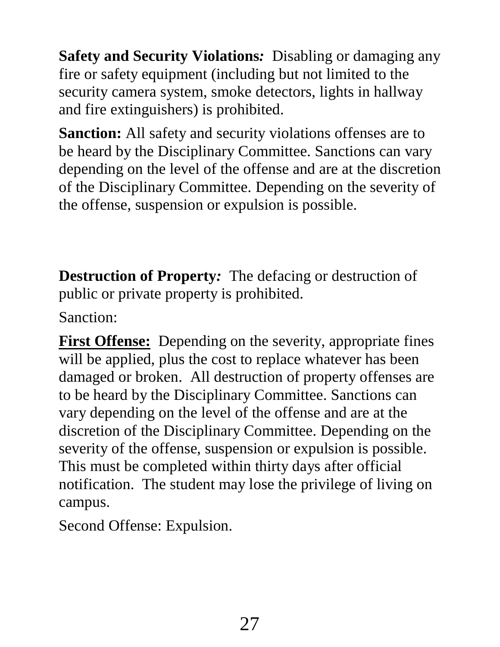<span id="page-28-0"></span>**Safety and Security Violations***:* Disabling or damaging any fire or safety equipment (including but not limited to the security camera system, smoke detectors, lights in hallway and fire extinguishers) is prohibited.

**Sanction:** All safety and security violations offenses are to be heard by the Disciplinary Committee. Sanctions can vary depending on the level of the offense and are at the discretion of the Disciplinary Committee. Depending on the severity of the offense, suspension or expulsion is possible.

<span id="page-28-1"></span>**Destruction of Property***:* The defacing or destruction of public or private property is prohibited.

Sanction:

First Offense: Depending on the severity, appropriate fines will be applied, plus the cost to replace whatever has been damaged or broken. All destruction of property offenses are to be heard by the Disciplinary Committee. Sanctions can vary depending on the level of the offense and are at the discretion of the Disciplinary Committee. Depending on the severity of the offense, suspension or expulsion is possible. This must be completed within thirty days after official notification. The student may lose the privilege of living on campus.

Second Offense: Expulsion.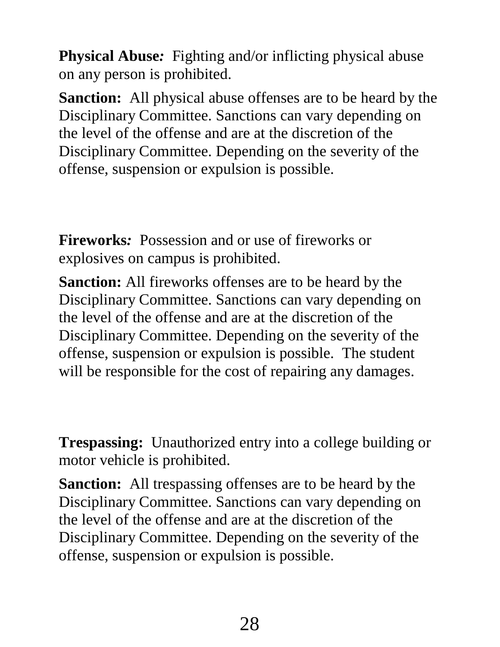<span id="page-29-0"></span>**Physical Abuse***:* Fighting and/or inflicting physical abuse on any person is prohibited.

**Sanction:** All physical abuse offenses are to be heard by the Disciplinary Committee. Sanctions can vary depending on the level of the offense and are at the discretion of the Disciplinary Committee. Depending on the severity of the offense, suspension or expulsion is possible.

<span id="page-29-1"></span>**Fireworks***:* Possession and or use of fireworks or explosives on campus is prohibited.

**Sanction:** All fireworks offenses are to be heard by the Disciplinary Committee. Sanctions can vary depending on the level of the offense and are at the discretion of the Disciplinary Committee. Depending on the severity of the offense, suspension or expulsion is possible. The student will be responsible for the cost of repairing any damages.

<span id="page-29-2"></span>**Trespassing:** Unauthorized entry into a college building or motor vehicle is prohibited.

**Sanction:** All trespassing offenses are to be heard by the Disciplinary Committee. Sanctions can vary depending on the level of the offense and are at the discretion of the Disciplinary Committee. Depending on the severity of the offense, suspension or expulsion is possible.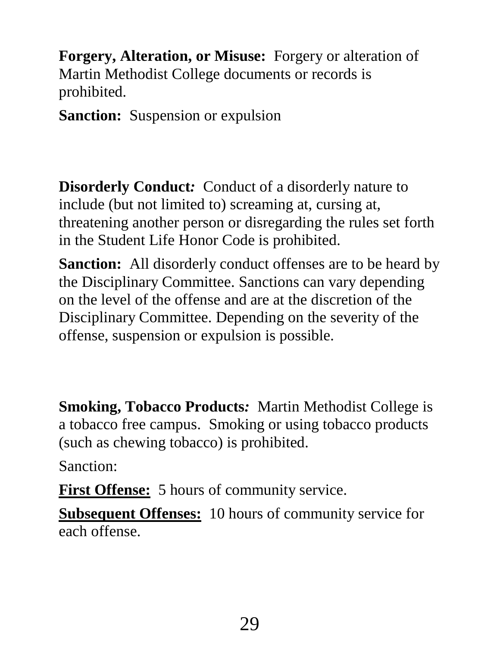<span id="page-30-0"></span>**Forgery, Alteration, or Misuse:** Forgery or alteration of Martin Methodist College documents or records is prohibited.

**Sanction:** Suspension or expulsion

<span id="page-30-1"></span>**Disorderly Conduct***:* Conduct of a disorderly nature to include (but not limited to) screaming at, cursing at, threatening another person or disregarding the rules set forth in the Student Life Honor Code is prohibited.

**Sanction:** All disorderly conduct offenses are to be heard by the Disciplinary Committee. Sanctions can vary depending on the level of the offense and are at the discretion of the Disciplinary Committee. Depending on the severity of the offense, suspension or expulsion is possible.

<span id="page-30-2"></span>**Smoking, Tobacco Products***:* Martin Methodist College is a tobacco free campus. Smoking or using tobacco products (such as chewing tobacco) is prohibited.

Sanction:

**First Offense:** 5 hours of community service.

**Subsequent Offenses:** 10 hours of community service for each offense.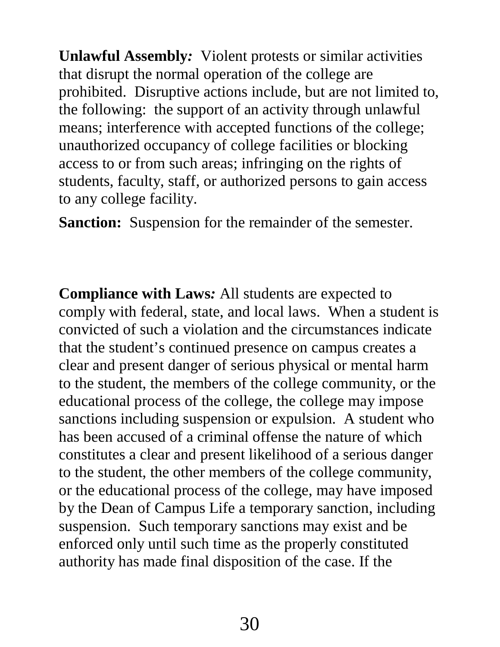<span id="page-31-0"></span>**Unlawful Assembly***:* Violent protests or similar activities that disrupt the normal operation of the college are prohibited. Disruptive actions include, but are not limited to, the following: the support of an activity through unlawful means; interference with accepted functions of the college; unauthorized occupancy of college facilities or blocking access to or from such areas; infringing on the rights of students, faculty, staff, or authorized persons to gain access to any college facility.

**Sanction:** Suspension for the remainder of the semester.

<span id="page-31-1"></span>**Compliance with Laws***:* All students are expected to comply with federal, state, and local laws. When a student is convicted of such a violation and the circumstances indicate that the student's continued presence on campus creates a clear and present danger of serious physical or mental harm to the student, the members of the college community, or the educational process of the college, the college may impose sanctions including suspension or expulsion. A student who has been accused of a criminal offense the nature of which constitutes a clear and present likelihood of a serious danger to the student, the other members of the college community, or the educational process of the college, may have imposed by the Dean of Campus Life a temporary sanction, including suspension. Such temporary sanctions may exist and be enforced only until such time as the properly constituted authority has made final disposition of the case. If the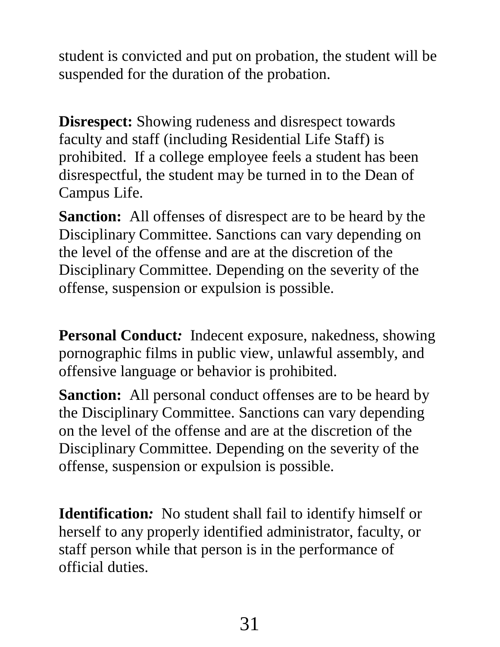student is convicted and put on probation, the student will be suspended for the duration of the probation.

<span id="page-32-0"></span>**Disrespect:** Showing rudeness and disrespect towards faculty and staff (including Residential Life Staff) is prohibited. If a college employee feels a student has been disrespectful, the student may be turned in to the Dean of Campus Life.

**Sanction:** All offenses of disrespect are to be heard by the Disciplinary Committee. Sanctions can vary depending on the level of the offense and are at the discretion of the Disciplinary Committee. Depending on the severity of the offense, suspension or expulsion is possible.

<span id="page-32-1"></span>**Personal Conduct***:* Indecent exposure, nakedness, showing pornographic films in public view, unlawful assembly, and offensive language or behavior is prohibited.

**Sanction:** All personal conduct offenses are to be heard by the Disciplinary Committee. Sanctions can vary depending on the level of the offense and are at the discretion of the Disciplinary Committee. Depending on the severity of the offense, suspension or expulsion is possible.

<span id="page-32-2"></span>**Identification***:* No student shall fail to identify himself or herself to any properly identified administrator, faculty, or staff person while that person is in the performance of official duties.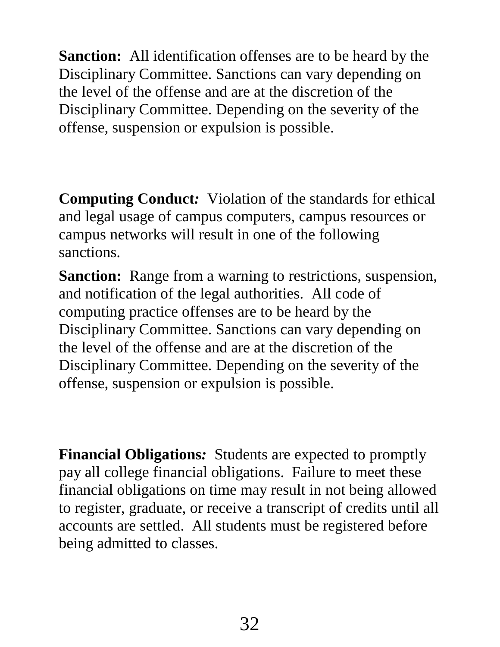**Sanction:** All identification offenses are to be heard by the Disciplinary Committee. Sanctions can vary depending on the level of the offense and are at the discretion of the Disciplinary Committee. Depending on the severity of the offense, suspension or expulsion is possible.

<span id="page-33-0"></span>**Computing Conduct***:* Violation of the standards for ethical and legal usage of campus computers, campus resources or campus networks will result in one of the following sanctions.

**Sanction:** Range from a warning to restrictions, suspension, and notification of the legal authorities. All code of computing practice offenses are to be heard by the Disciplinary Committee. Sanctions can vary depending on the level of the offense and are at the discretion of the Disciplinary Committee. Depending on the severity of the offense, suspension or expulsion is possible.

<span id="page-33-1"></span>**Financial Obligations***:* Students are expected to promptly pay all college financial obligations. Failure to meet these financial obligations on time may result in not being allowed to register, graduate, or receive a transcript of credits until all accounts are settled. All students must be registered before being admitted to classes.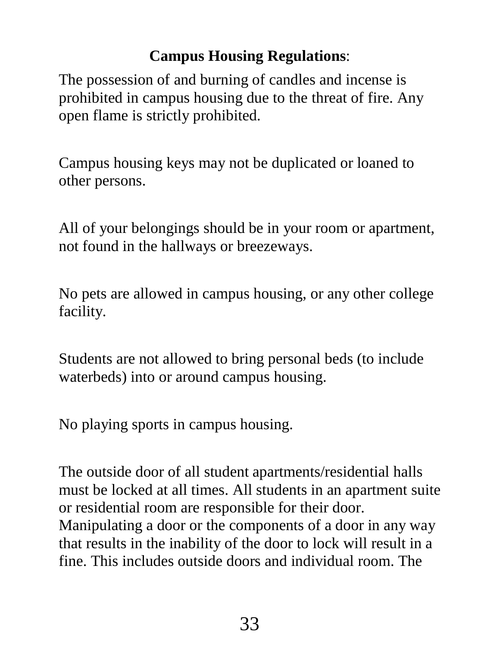# **Campus Housing Regulations**:

<span id="page-34-0"></span>The possession of and burning of candles and incense is prohibited in campus housing due to the threat of fire. Any open flame is strictly prohibited.

Campus housing keys may not be duplicated or loaned to other persons.

All of your belongings should be in your room or apartment, not found in the hallways or breezeways.

No pets are allowed in campus housing, or any other college facility.

Students are not allowed to bring personal beds (to include waterbeds) into or around campus housing.

No playing sports in campus housing.

The outside door of all student apartments/residential halls must be locked at all times. All students in an apartment suite or residential room are responsible for their door. Manipulating a door or the components of a door in any way that results in the inability of the door to lock will result in a fine. This includes outside doors and individual room. The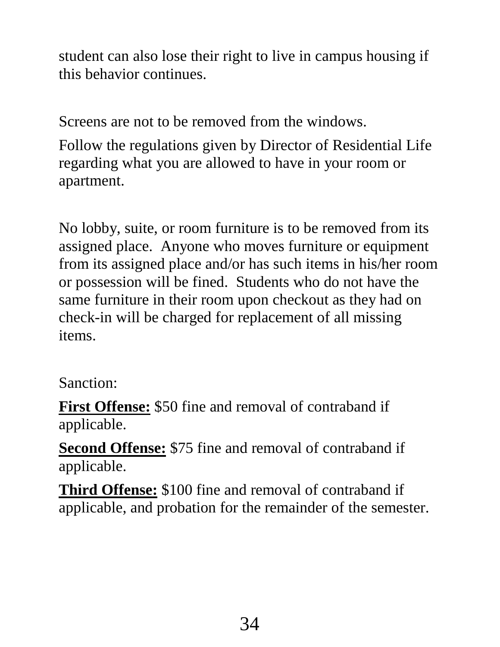student can also lose their right to live in campus housing if this behavior continues.

Screens are not to be removed from the windows.

Follow the regulations given by Director of Residential Life regarding what you are allowed to have in your room or apartment.

No lobby, suite, or room furniture is to be removed from its assigned place. Anyone who moves furniture or equipment from its assigned place and/or has such items in his/her room or possession will be fined. Students who do not have the same furniture in their room upon checkout as they had on check-in will be charged for replacement of all missing items.

## Sanction:

**First Offense:** \$50 fine and removal of contraband if applicable.

**Second Offense:** \$75 fine and removal of contraband if applicable.

**Third Offense:** \$100 fine and removal of contraband if applicable, and probation for the remainder of the semester.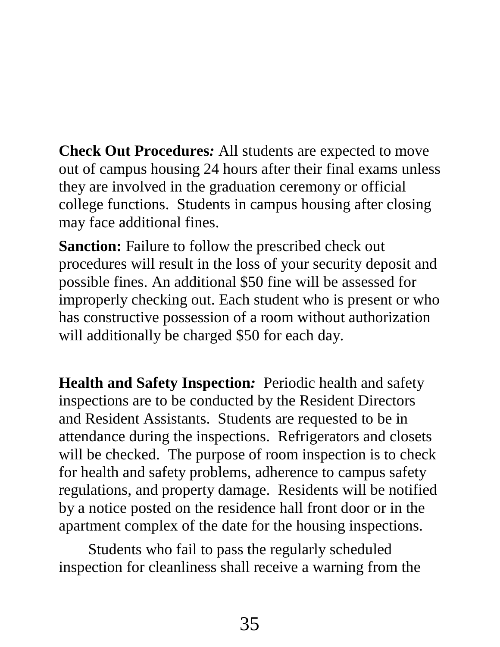<span id="page-36-0"></span>**Check Out Procedures***:* All students are expected to move out of campus housing 24 hours after their final exams unless they are involved in the graduation ceremony or official college functions. Students in campus housing after closing may face additional fines.

**Sanction:** Failure to follow the prescribed check out procedures will result in the loss of your security deposit and possible fines. An additional \$50 fine will be assessed for improperly checking out. Each student who is present or who has constructive possession of a room without authorization will additionally be charged \$50 for each day.

<span id="page-36-1"></span>**Health and Safety Inspection***:* Periodic health and safety inspections are to be conducted by the Resident Directors and Resident Assistants. Students are requested to be in attendance during the inspections. Refrigerators and closets will be checked. The purpose of room inspection is to check for health and safety problems, adherence to campus safety regulations, and property damage. Residents will be notified by a notice posted on the residence hall front door or in the apartment complex of the date for the housing inspections.

Students who fail to pass the regularly scheduled inspection for cleanliness shall receive a warning from the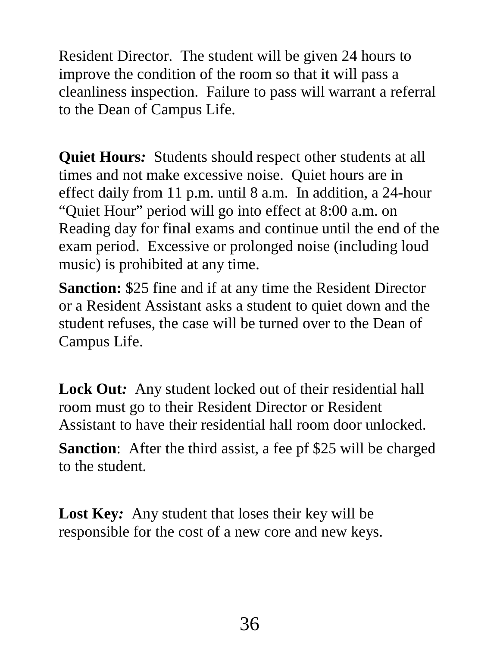Resident Director. The student will be given 24 hours to improve the condition of the room so that it will pass a cleanliness inspection. Failure to pass will warrant a referral to the Dean of Campus Life.

<span id="page-37-0"></span>**Quiet Hours***:* Students should respect other students at all times and not make excessive noise. Quiet hours are in effect daily from 11 p.m. until 8 a.m. In addition, a 24-hour "Quiet Hour" period will go into effect at 8:00 a.m. on Reading day for final exams and continue until the end of the exam period. Excessive or prolonged noise (including loud music) is prohibited at any time.

**Sanction:** \$25 fine and if at any time the Resident Director or a Resident Assistant asks a student to quiet down and the student refuses, the case will be turned over to the Dean of Campus Life.

<span id="page-37-1"></span>Lock Out: Any student locked out of their residential hall room must go to their Resident Director or Resident Assistant to have their residential hall room door unlocked.

**Sanction:** After the third assist, a fee pf \$25 will be charged to the student.

<span id="page-37-2"></span>**Lost Key***:* Any student that loses their key will be responsible for the cost of a new core and new keys.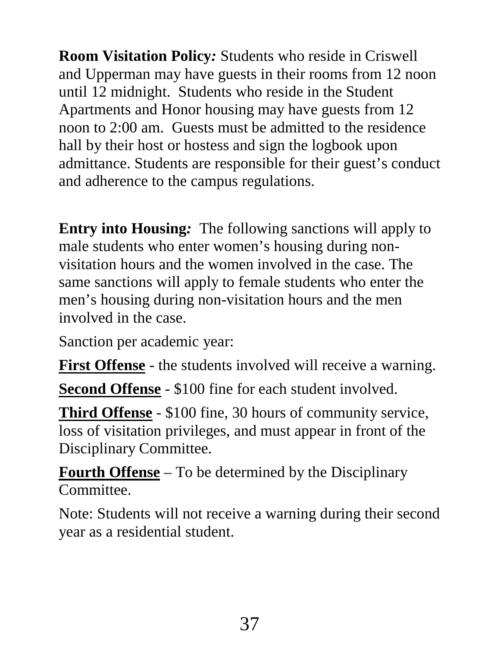<span id="page-38-0"></span>**Room Visitation Policy***:* Students who reside in Criswell and Upperman may have guests in their rooms from 12 noon until 12 midnight. Students who reside in the Student Apartments and Honor housing may have guests from 12 noon to 2:00 am. Guests must be admitted to the residence hall by their host or hostess and sign the logbook upon admittance. Students are responsible for their guest's conduct and adherence to the campus regulations.

<span id="page-38-1"></span>**Entry into Housing***:* The following sanctions will apply to male students who enter women's housing during nonvisitation hours and the women involved in the case. The same sanctions will apply to female students who enter the men's housing during non-visitation hours and the men involved in the case.

Sanction per academic year:

**First Offense** - the students involved will receive a warning.

**Second Offense** - \$100 fine for each student involved.

**Third Offense** - \$100 fine, 30 hours of community service, loss of visitation privileges, and must appear in front of the Disciplinary Committee.

**Fourth Offense** – To be determined by the Disciplinary Committee.

Note: Students will not receive a warning during their second year as a residential student.